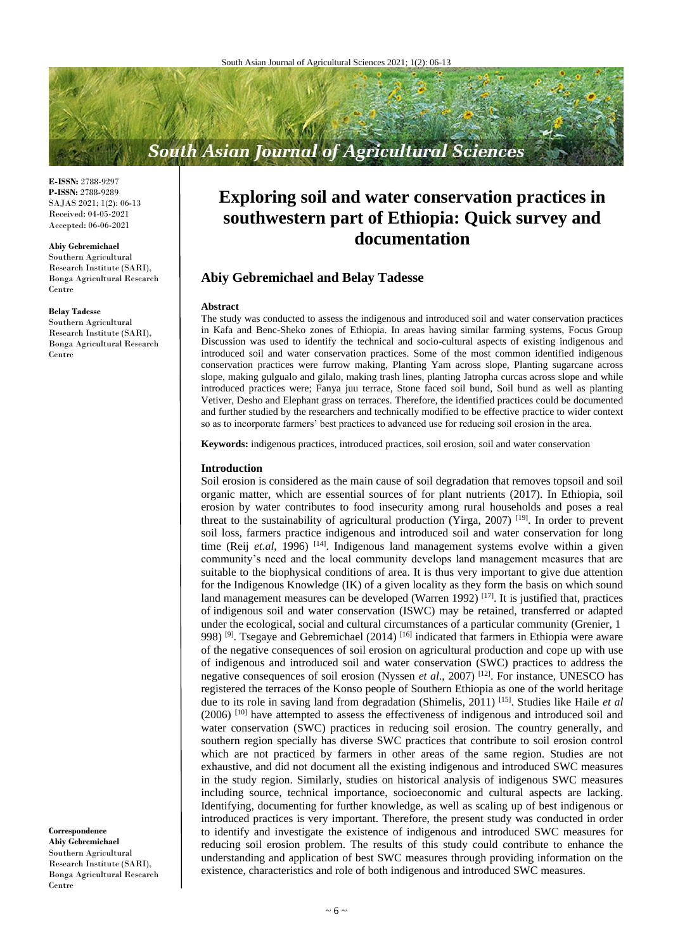# **South Asian Journal of Agricultural Sciences**

**E-ISSN:** 2788-9297 **P-ISSN:** 2788-9289 SAJAS 2021; 1(2): 06-13 Received: 04-05-2021 Accepted: 06-06-2021

#### **Abiy Gebremichael**

Southern Agricultural Research Institute (SARI), Bonga Agricultural Research Centre

#### **Belay Tadesse**

Southern Agricultural Research Institute (SARI), Bonga Agricultural Research Centre

**Correspondence Abiy Gebremichael** Southern Agricultural Research Institute (SARI), Bonga Agricultural Research Centre

# **Exploring soil and water conservation practices in southwestern part of Ethiopia: Quick survey and documentation**

# **Abiy Gebremichael and Belay Tadesse**

#### **Abstract**

The study was conducted to assess the indigenous and introduced soil and water conservation practices in Kafa and Benc-Sheko zones of Ethiopia. In areas having similar farming systems, Focus Group Discussion was used to identify the technical and socio-cultural aspects of existing indigenous and introduced soil and water conservation practices. Some of the most common identified indigenous conservation practices were furrow making, Planting Yam across slope, Planting sugarcane across slope, making gulgualo and gilalo, making trash lines, planting Jatropha curcas across slope and while introduced practices were; Fanya juu terrace, Stone faced soil bund, Soil bund as well as planting Vetiver, Desho and Elephant grass on terraces. Therefore, the identified practices could be documented and further studied by the researchers and technically modified to be effective practice to wider context so as to incorporate farmers' best practices to advanced use for reducing soil erosion in the area.

**Keywords:** indigenous practices, introduced practices, soil erosion, soil and water conservation

#### **Introduction**

Soil erosion is considered as the main cause of soil degradation that removes topsoil and soil organic matter, which are essential sources of for plant nutrients (2017). In Ethiopia, soil erosion by water contributes to food insecurity among rural households and poses a real threat to the sustainability of agricultural production (Yirga, 2007) [19]. In order to prevent soil loss, farmers practice indigenous and introduced soil and water conservation for long time (Reij *et.al*, 1996)<sup>[14]</sup>. Indigenous land management systems evolve within a given community's need and the local community develops land management measures that are suitable to the biophysical conditions of area. It is thus very important to give due attention for the Indigenous Knowledge (IK) of a given locality as they form the basis on which sound land management measures can be developed (Warren 1992)  $^{[17]}$ . It is justified that, practices of indigenous soil and water conservation (ISWC) may be retained, transferred or adapted under the ecological, social and cultural circumstances of a particular community (Grenier, 1 998) <sup>[9]</sup>. Tsegaye and Gebremichael (2014) <sup>[16]</sup> indicated that farmers in Ethiopia were aware of the negative consequences of soil erosion on agricultural production and cope up with use of indigenous and introduced soil and water conservation (SWC) practices to address the negative consequences of soil erosion (Nyssen *et al*., 2007) [12]. For instance, UNESCO has registered the terraces of the Konso people of Southern Ethiopia as one of the world heritage due to its role in saving land from degradation (Shimelis, 2011) [15] . Studies like Haile *et al* (2006) [10] have attempted to assess the effectiveness of indigenous and introduced soil and water conservation (SWC) practices in reducing soil erosion. The country generally, and southern region specially has diverse SWC practices that contribute to soil erosion control which are not practiced by farmers in other areas of the same region. Studies are not exhaustive, and did not document all the existing indigenous and introduced SWC measures in the study region. Similarly, studies on historical analysis of indigenous SWC measures including source, technical importance, socioeconomic and cultural aspects are lacking. Identifying, documenting for further knowledge, as well as scaling up of best indigenous or introduced practices is very important. Therefore, the present study was conducted in order to identify and investigate the existence of indigenous and introduced SWC measures for reducing soil erosion problem. The results of this study could contribute to enhance the understanding and application of best SWC measures through providing information on the existence, characteristics and role of both indigenous and introduced SWC measures.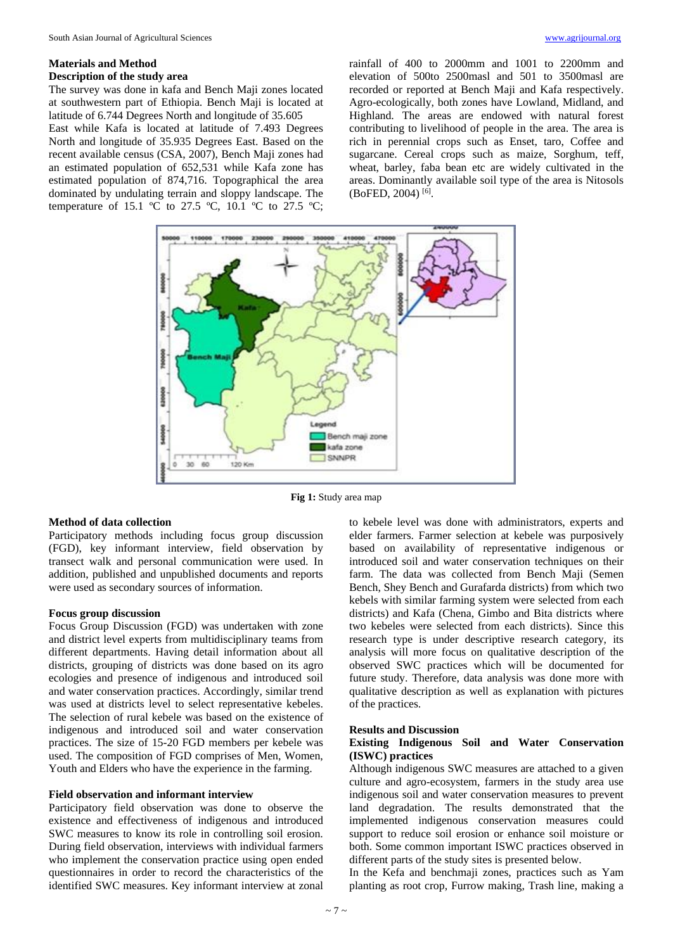## **Materials and Method Description of the study area**

The survey was done in kafa and Bench Maji zones located at southwestern part of Ethiopia. Bench Maji is located at latitude of 6.744 Degrees North and longitude of 35.605

East while Kafa is located at latitude of 7.493 Degrees North and longitude of 35.935 Degrees East. Based on the recent available census (CSA, 2007), Bench Maji zones had an estimated population of 652,531 while Kafa zone has estimated population of 874,716. Topographical the area dominated by undulating terrain and sloppy landscape. The temperature of 15.1  $\degree$ C to 27.5  $\degree$ C, 10.1  $\degree$ C to 27.5  $\degree$ C;

rainfall of 400 to 2000mm and 1001 to 2200mm and elevation of 500to 2500masl and 501 to 3500masl are recorded or reported at Bench Maji and Kafa respectively. Agro-ecologically, both zones have Lowland, Midland, and Highland. The areas are endowed with natural forest contributing to livelihood of people in the area. The area is rich in perennial crops such as Enset, taro, Coffee and sugarcane. Cereal crops such as maize, Sorghum, teff, wheat, barley, faba bean etc are widely cultivated in the areas. Dominantly available soil type of the area is Nitosols (BoFED, 2004) [6] .



**Fig 1:** Study area map

## **Method of data collection**

Participatory methods including focus group discussion (FGD), key informant interview, field observation by transect walk and personal communication were used. In addition, published and unpublished documents and reports were used as secondary sources of information.

## **Focus group discussion**

Focus Group Discussion (FGD) was undertaken with zone and district level experts from multidisciplinary teams from different departments. Having detail information about all districts, grouping of districts was done based on its agro ecologies and presence of indigenous and introduced soil and water conservation practices. Accordingly, similar trend was used at districts level to select representative kebeles. The selection of rural kebele was based on the existence of indigenous and introduced soil and water conservation practices. The size of 15-20 FGD members per kebele was used. The composition of FGD comprises of Men, Women, Youth and Elders who have the experience in the farming.

## **Field observation and informant interview**

Participatory field observation was done to observe the existence and effectiveness of indigenous and introduced SWC measures to know its role in controlling soil erosion. During field observation, interviews with individual farmers who implement the conservation practice using open ended questionnaires in order to record the characteristics of the identified SWC measures. Key informant interview at zonal

to kebele level was done with administrators, experts and elder farmers. Farmer selection at kebele was purposively based on availability of representative indigenous or introduced soil and water conservation techniques on their farm. The data was collected from Bench Maji (Semen Bench, Shey Bench and Gurafarda districts) from which two kebels with similar farming system were selected from each districts) and Kafa (Chena, Gimbo and Bita districts where two kebeles were selected from each districts). Since this research type is under descriptive research category, its analysis will more focus on qualitative description of the observed SWC practices which will be documented for future study. Therefore, data analysis was done more with qualitative description as well as explanation with pictures of the practices.

#### **Results and Discussion**

# **Existing Indigenous Soil and Water Conservation (ISWC) practices**

Although indigenous SWC measures are attached to a given culture and agro-ecosystem, farmers in the study area use indigenous soil and water conservation measures to prevent land degradation. The results demonstrated that the implemented indigenous conservation measures could support to reduce soil erosion or enhance soil moisture or both. Some common important ISWC practices observed in different parts of the study sites is presented below.

In the Kefa and benchmaji zones, practices such as Yam planting as root crop, Furrow making, Trash line, making a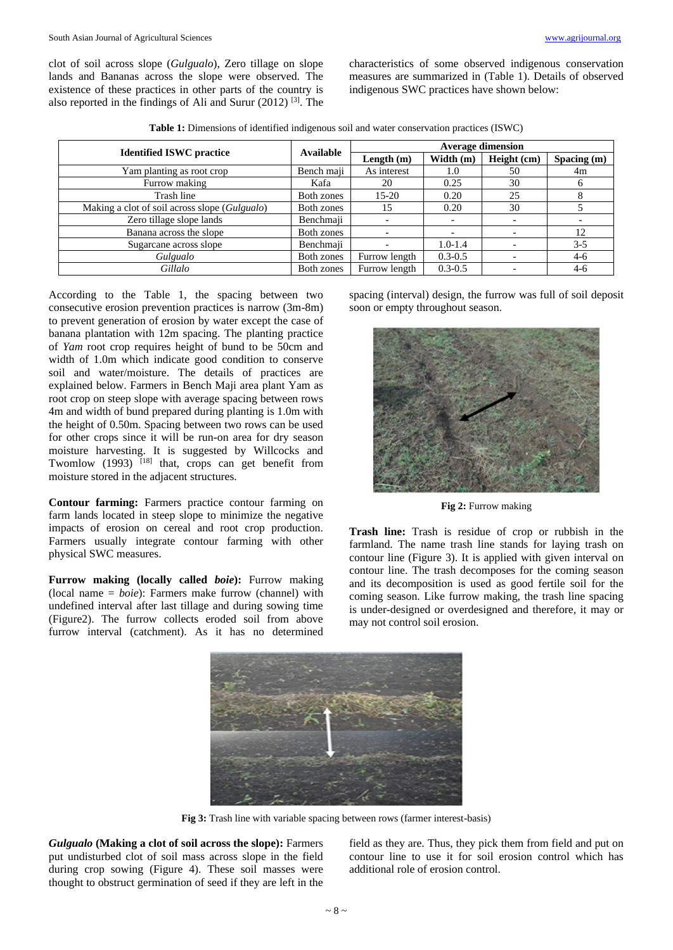clot of soil across slope (*Gulgualo*), Zero tillage on slope lands and Bananas across the slope were observed. The existence of these practices in other parts of the country is also reported in the findings of Ali and Surur (2012)<sup>[3]</sup>. The characteristics of some observed indigenous conservation measures are summarized in (Table 1). Details of observed indigenous SWC practices have shown below:

**Table 1:** Dimensions of identified indigenous soil and water conservation practices (ISWC)

| <b>Identified ISWC practice</b>               | Available  | <b>Average dimension</b> |             |             |             |
|-----------------------------------------------|------------|--------------------------|-------------|-------------|-------------|
|                                               |            | Length $(m)$             | Width (m)   | Height (cm) | Spacing (m) |
| Yam planting as root crop                     | Bench maji | As interest              | 1.0         | 50          | 4m          |
| Furrow making                                 | Kafa       | 20                       | 0.25        | 30          | 6           |
| Trash line                                    | Both zones | $15-20$                  | 0.20        | 25          | 8           |
| Making a clot of soil across slope (Gulgualo) | Both zones | 15                       | 0.20        | 30          |             |
| Zero tillage slope lands                      | Benchmaji  |                          |             |             |             |
| Banana across the slope                       | Both zones |                          |             |             | 12          |
| Sugarcane across slope                        | Benchmaji  |                          | $1.0 - 1.4$ |             | $3 - 5$     |
| Gulgualo                                      | Both zones | Furrow length            | $0.3 - 0.5$ |             | $4-6$       |
| Gillalo                                       | Both zones | Furrow length            | $0.3 - 0.5$ |             | $4-6$       |

According to the Table 1, the spacing between two consecutive erosion prevention practices is narrow (3m-8m) to prevent generation of erosion by water except the case of banana plantation with 12m spacing. The planting practice of *Yam* root crop requires height of bund to be 50cm and width of 1.0m which indicate good condition to conserve soil and water/moisture. The details of practices are explained below. Farmers in Bench Maji area plant Yam as root crop on steep slope with average spacing between rows 4m and width of bund prepared during planting is 1.0m with the height of 0.50m. Spacing between two rows can be used for other crops since it will be run-on area for dry season moisture harvesting. It is suggested by Willcocks and Twomlow  $(1993)$ <sup>[18]</sup> that, crops can get benefit from moisture stored in the adjacent structures.

**Contour farming:** Farmers practice contour farming on farm lands located in steep slope to minimize the negative impacts of erosion on cereal and root crop production. Farmers usually integrate contour farming with other physical SWC measures.

**Furrow making (locally called** *boie***):** Furrow making (local name = *boie*): Farmers make furrow (channel) with undefined interval after last tillage and during sowing time (Figure2). The furrow collects eroded soil from above furrow interval (catchment). As it has no determined

spacing (interval) design, the furrow was full of soil deposit soon or empty throughout season.



**Fig 2:** Furrow making

**Trash line:** Trash is residue of crop or rubbish in the farmland. The name trash line stands for laying trash on contour line (Figure 3). It is applied with given interval on contour line. The trash decomposes for the coming season and its decomposition is used as good fertile soil for the coming season. Like furrow making, the trash line spacing is under-designed or overdesigned and therefore, it may or may not control soil erosion.



**Fig 3:** Trash line with variable spacing between rows (farmer interest-basis)

*Gulgualo* **(Making a clot of soil across the slope):** Farmers put undisturbed clot of soil mass across slope in the field during crop sowing (Figure 4). These soil masses were thought to obstruct germination of seed if they are left in the

field as they are. Thus, they pick them from field and put on contour line to use it for soil erosion control which has additional role of erosion control.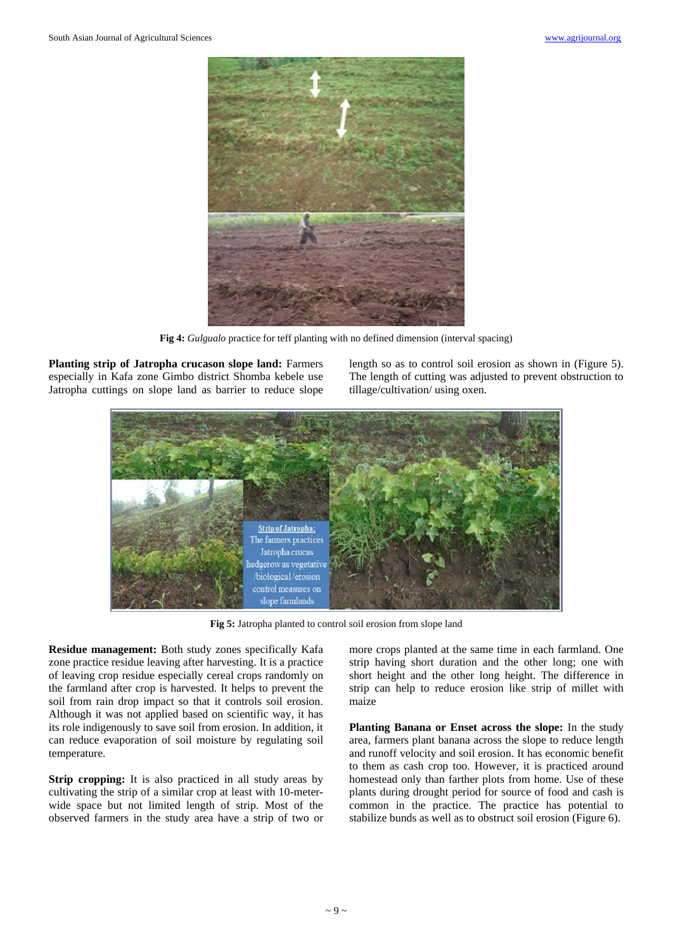

**Fig 4:** *Gulgualo* practice for teff planting with no defined dimension (interval spacing)

**Planting strip of Jatropha crucason slope land:** Farmers especially in Kafa zone Gimbo district Shomba kebele use Jatropha cuttings on slope land as barrier to reduce slope length so as to control soil erosion as shown in (Figure 5). The length of cutting was adjusted to prevent obstruction to tillage/cultivation/ using oxen.



**Fig 5:** Jatropha planted to control soil erosion from slope land

**Residue management:** Both study zones specifically Kafa zone practice residue leaving after harvesting. It is a practice of leaving crop residue especially cereal crops randomly on the farmland after crop is harvested. It helps to prevent the soil from rain drop impact so that it controls soil erosion. Although it was not applied based on scientific way, it has its role indigenously to save soil from erosion. In addition, it can reduce evaporation of soil moisture by regulating soil temperature.

**Strip cropping:** It is also practiced in all study areas by cultivating the strip of a similar crop at least with 10-meterwide space but not limited length of strip. Most of the observed farmers in the study area have a strip of two or more crops planted at the same time in each farmland. One strip having short duration and the other long; one with short height and the other long height. The difference in strip can help to reduce erosion like strip of millet with maize

**Planting Banana or Enset across the slope:** In the study area, farmers plant banana across the slope to reduce length and runoff velocity and soil erosion. It has economic benefit to them as cash crop too. However, it is practiced around homestead only than farther plots from home. Use of these plants during drought period for source of food and cash is common in the practice. The practice has potential to stabilize bunds as well as to obstruct soil erosion (Figure 6).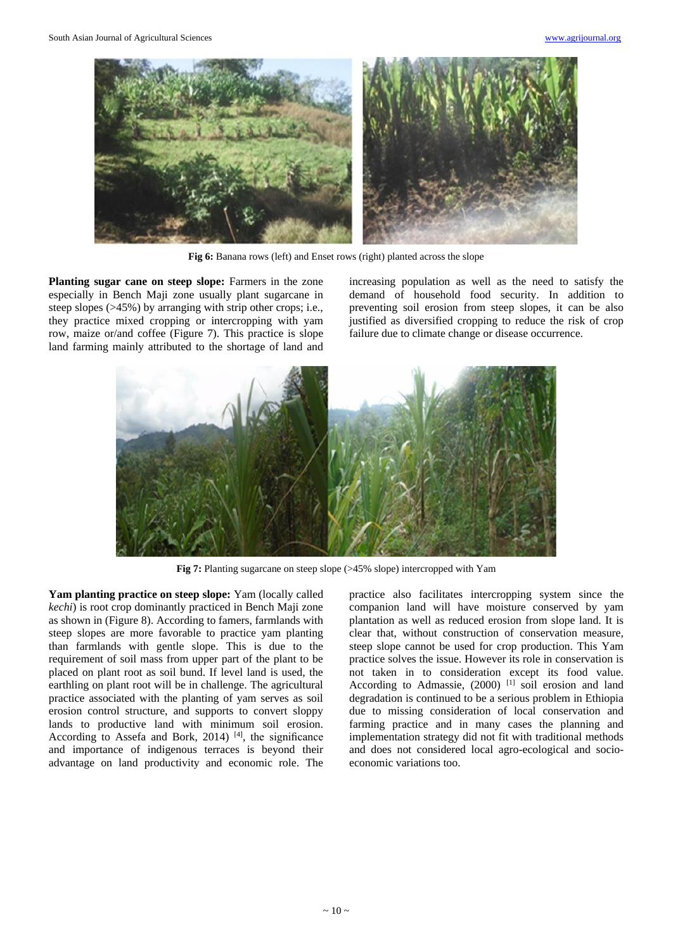

**Fig 6:** Banana rows (left) and Enset rows (right) planted across the slope

**Planting sugar cane on steep slope:** Farmers in the zone especially in Bench Maji zone usually plant sugarcane in steep slopes (>45%) by arranging with strip other crops; i.e., they practice mixed cropping or intercropping with yam row, maize or/and coffee (Figure 7). This practice is slope land farming mainly attributed to the shortage of land and

increasing population as well as the need to satisfy the demand of household food security. In addition to preventing soil erosion from steep slopes, it can be also justified as diversified cropping to reduce the risk of crop failure due to climate change or disease occurrence.



**Fig 7:** Planting sugarcane on steep slope (>45% slope) intercropped with Yam

**Yam planting practice on steep slope:** Yam (locally called *kechi*) is root crop dominantly practiced in Bench Maji zone as shown in (Figure 8). According to famers, farmlands with steep slopes are more favorable to practice yam planting than farmlands with gentle slope. This is due to the requirement of soil mass from upper part of the plant to be placed on plant root as soil bund. If level land is used, the earthling on plant root will be in challenge. The agricultural practice associated with the planting of yam serves as soil erosion control structure, and supports to convert sloppy lands to productive land with minimum soil erosion. According to Assefa and Bork, 2014)  $[4]$ , the significance and importance of indigenous terraces is beyond their advantage on land productivity and economic role. The

practice also facilitates intercropping system since the companion land will have moisture conserved by yam plantation as well as reduced erosion from slope land. It is clear that, without construction of conservation measure, steep slope cannot be used for crop production. This Yam practice solves the issue. However its role in conservation is not taken in to consideration except its food value. According to Admassie, (2000) <sup>[1]</sup> soil erosion and land degradation is continued to be a serious problem in Ethiopia due to missing consideration of local conservation and farming practice and in many cases the planning and implementation strategy did not fit with traditional methods and does not considered local agro-ecological and socioeconomic variations too.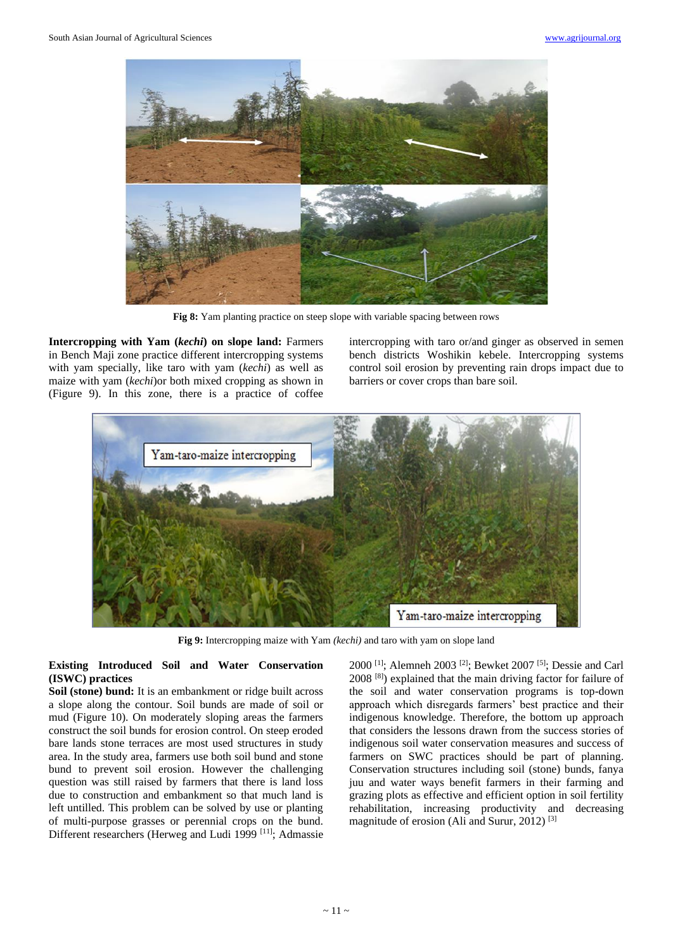

**Fig 8:** Yam planting practice on steep slope with variable spacing between rows

**Intercropping with Yam (***kechi***) on slope land:** Farmers in Bench Maji zone practice different intercropping systems with yam specially, like taro with yam (*kechi*) as well as maize with yam (*kechi*)or both mixed cropping as shown in (Figure 9). In this zone, there is a practice of coffee

intercropping with taro or/and ginger as observed in semen bench districts Woshikin kebele. Intercropping systems control soil erosion by preventing rain drops impact due to barriers or cover crops than bare soil.



**Fig 9:** Intercropping maize with Yam *(kechi)* and taro with yam on slope land

# **Existing Introduced Soil and Water Conservation (ISWC) practices**

**Soil (stone) bund:** It is an embankment or ridge built across a slope along the contour. Soil bunds are made of soil or mud (Figure 10). On moderately sloping areas the farmers construct the soil bunds for erosion control. On steep eroded bare lands stone terraces are most used structures in study area. In the study area, farmers use both soil bund and stone bund to prevent soil erosion. However the challenging question was still raised by farmers that there is land loss due to construction and embankment so that much land is left untilled. This problem can be solved by use or planting of multi-purpose grasses or perennial crops on the bund. Different researchers (Herweg and Ludi 1999 [11]; Admassie

2000 [1]; Alemneh 2003 [2]; Bewket 2007 [5]; Dessie and Carl 2008 [8]) explained that the main driving factor for failure of the soil and water conservation programs is top-down approach which disregards farmers' best practice and their indigenous knowledge. Therefore, the bottom up approach that considers the lessons drawn from the success stories of indigenous soil water conservation measures and success of farmers on SWC practices should be part of planning. Conservation structures including soil (stone) bunds, fanya juu and water ways benefit farmers in their farming and grazing plots as effective and efficient option in soil fertility rehabilitation, increasing productivity and decreasing magnitude of erosion (Ali and Surur, 2012) [3]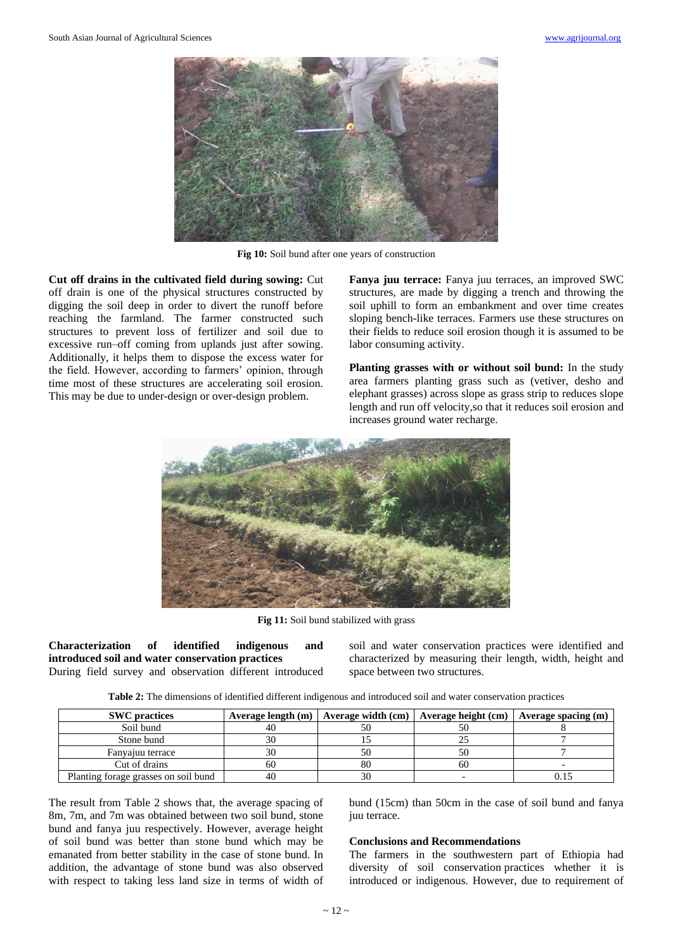

**Fig 10:** Soil bund after one years of construction

**Cut off drains in the cultivated field during sowing:** Cut off drain is one of the physical structures constructed by digging the soil deep in order to divert the runoff before reaching the farmland. The farmer constructed such structures to prevent loss of fertilizer and soil due to excessive run–off coming from uplands just after sowing. Additionally, it helps them to dispose the excess water for the field. However, according to farmers' opinion, through time most of these structures are accelerating soil erosion. This may be due to under-design or over-design problem.

**Fanya juu terrace:** Fanya juu terraces, an improved SWC structures, are made by digging a trench and throwing the soil uphill to form an embankment and over time creates sloping bench-like terraces. Farmers use these structures on their fields to reduce soil erosion though it is assumed to be labor consuming activity.

**Planting grasses with or without soil bund:** In the study area farmers planting grass such as (vetiver, desho and elephant grasses) across slope as grass strip to reduces slope length and run off velocity,so that it reduces soil erosion and increases ground water recharge.



**Fig 11:** Soil bund stabilized with grass

**Characterization of identified indigenous and introduced soil and water conservation practices** During field survey and observation different introduced soil and water conservation practices were identified and characterized by measuring their length, width, height and space between two structures.

| <b>SWC</b> practices                 | Average length $(m)$ | Average width $(cm)$ | Average height (cm) | Average spacing $(m)$ |
|--------------------------------------|----------------------|----------------------|---------------------|-----------------------|
| Soil bund                            | 40                   |                      |                     |                       |
| Stone bund                           | 30                   |                      |                     |                       |
| Fanyajuu terrace                     | 3U                   |                      |                     |                       |
| Cut of drains                        | -60                  | 80                   | 60                  |                       |
| Planting forage grasses on soil bund | 4()                  |                      |                     |                       |

The result from Table 2 shows that, the average spacing of 8m, 7m, and 7m was obtained between two soil bund, stone bund and fanya juu respectively. However, average height of soil bund was better than stone bund which may be emanated from better stability in the case of stone bund. In addition, the advantage of stone bund was also observed with respect to taking less land size in terms of width of

bund (15cm) than 50cm in the case of soil bund and fanya juu terrace.

### **Conclusions and Recommendations**

The farmers in the southwestern part of Ethiopia had diversity of soil conservation practices whether it is introduced or indigenous. However, due to requirement of